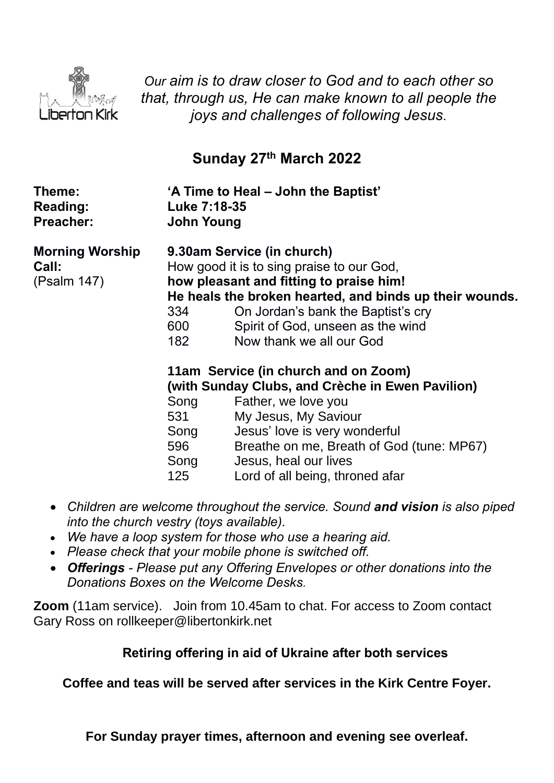

*Our aim is to draw closer to God and to each other so that, through us, He can make known to all people the joys and challenges of following Jesus.*

# **Sunday 27 th March 2022**

| Theme:<br><b>Reading:</b><br><b>Preacher:</b>  | Luke 7:18-35<br><b>John Young</b>                                   | 'A Time to Heal – John the Baptist'                                                                                                                                                                                                                                                                                                                                                                                                                                                                                                                                       |
|------------------------------------------------|---------------------------------------------------------------------|---------------------------------------------------------------------------------------------------------------------------------------------------------------------------------------------------------------------------------------------------------------------------------------------------------------------------------------------------------------------------------------------------------------------------------------------------------------------------------------------------------------------------------------------------------------------------|
| <b>Morning Worship</b><br>Call:<br>(Psalm 147) | 334<br>600<br>182<br>Song<br>531<br>Song<br>596 — 10<br>Song<br>125 | 9.30am Service (in church)<br>How good it is to sing praise to our God,<br>how pleasant and fitting to praise him!<br>He heals the broken hearted, and binds up their wounds.<br>On Jordan's bank the Baptist's cry<br>Spirit of God, unseen as the wind<br>Now thank we all our God<br>11am Service (in church and on Zoom)<br>(with Sunday Clubs, and Crèche in Ewen Pavilion)<br>Father, we love you<br>My Jesus, My Saviour<br>Jesus' love is very wonderful<br>Breathe on me, Breath of God (tune: MP67)<br>Jesus, heal our lives<br>Lord of all being, throned afar |
|                                                |                                                                     |                                                                                                                                                                                                                                                                                                                                                                                                                                                                                                                                                                           |

- *Children are welcome throughout the service. Sound and vision is also piped into the church vestry (toys available).*
- *We have a loop system for those who use a hearing aid.*
- *Please check that your mobile phone is switched off.*
- *Offerings - Please put any Offering Envelopes or other donations into the Donations Boxes on the Welcome Desks.*

**Zoom** (11am service).Join from 10.45am to chat. For access to Zoom contact Gary Ross on rollkeeper@libertonkirk.net

## **Retiring offering in aid of Ukraine after both services**

**Coffee and teas will be served after services in the Kirk Centre Foyer.**

**For Sunday prayer times, afternoon and evening see overleaf.**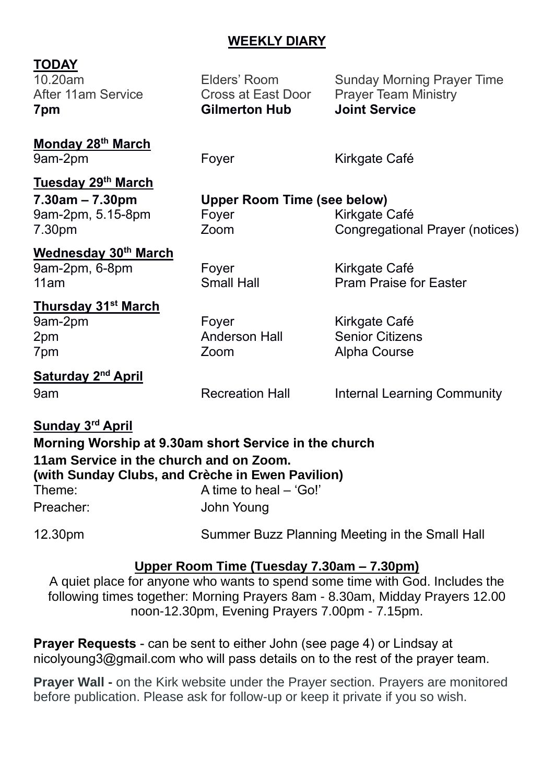## **WEEKLY DIARY**

## **TODAY**

10.20am Elders' Room Sunday Morning Prayer Time After 11am Service **Cross at East Door** Prayer Team Ministry **7pm Gilmerton Hub Joint Service**

**Monday 28 th March** 9am-2pm Foyer Fore Kirkgate Café

| Tuesday 29th March    |                                    |                                 |  |
|-----------------------|------------------------------------|---------------------------------|--|
| $7.30$ am – $7.30$ pm | <b>Upper Room Time (see below)</b> |                                 |  |
| 9am-2pm, 5.15-8pm     | Fover                              | Kirkgate Café                   |  |
| 7.30pm                | Zoom                               | Congregational Prayer (notices) |  |
| Wednesday 30th March  |                                    |                                 |  |

9am-2pm, 6-8pm Foyer Kirkgate Café

11am Small Hall Pram Praise for Easter

#### **Thursday 31st March** 9am-2pm Foyer Form Kirkgate Café

2pm Anderson Hall Senior Citizens 7pm Zoom Alpha Course

**<u>Saturday</u>** 2<sup>nd</sup> April

9am **Recreation Hall** Internal Learning Community

## **Sunday 3 rd April**

|           | Morning Worship at 9.30am short Service in the church |  |
|-----------|-------------------------------------------------------|--|
|           | 11am Service in the church and on Zoom.               |  |
|           | (with Sunday Clubs, and Crèche in Ewen Pavilion)      |  |
| Theme:    | A time to heal – 'Go!'                                |  |
| Preacher: | John Young                                            |  |

12.30pm Summer Buzz Planning Meeting in the Small Hall

## **Upper Room Time (Tuesday 7.30am – 7.30pm)**

A quiet place for anyone who wants to spend some time with God. Includes the following times together: Morning Prayers 8am - 8.30am, Midday Prayers 12.00 noon-12.30pm, Evening Prayers 7.00pm - 7.15pm.

**Prayer Requests** - can be sent to either John (see page 4) or Lindsay at [nicolyoung3@gmail.com](mailto:nicolyoung3@gmail.com) who will pass details on to the rest of the prayer team.

**Prayer Wall -** on the Kirk website under the Prayer section. Prayers are monitored before publication. Please ask for follow-up or keep it private if you so wish.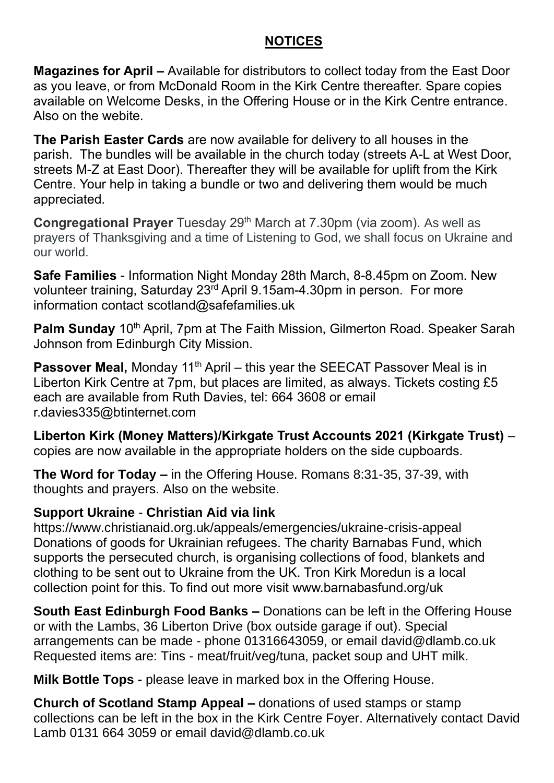## **NOTICES**

**Magazines for April –** Available for distributors to collect today from the East Door as you leave, or from McDonald Room in the Kirk Centre thereafter. Spare copies available on Welcome Desks, in the Offering House or in the Kirk Centre entrance. Also on the webite.

**The Parish Easter Cards** are now available for delivery to all houses in the parish. The bundles will be available in the church today (streets A-L at West Door, streets M-Z at East Door). Thereafter they will be available for uplift from the Kirk Centre. Your help in taking a bundle or two and delivering them would be much appreciated.

**Congregational Prayer** Tuesday 29<sup>th</sup> March at 7.30pm (via zoom). As well as prayers of Thanksgiving and a time of Listening to God, we shall focus on Ukraine and our world.

**Safe Families** - Information Night Monday 28th March, 8-8.45pm on Zoom. New volunteer training, Saturday 23rd April 9.15am-4.30pm in person. For more information contact [scotland@safefamilies.uk](mailto:scotland@safefamilies.uk)

**Palm Sunday** 10<sup>th</sup> April, 7pm at The Faith Mission, Gilmerton Road. Speaker Sarah Johnson from Edinburgh City Mission.

**Passover Meal, Monday 11<sup>th</sup> April – this year the SEECAT Passover Meal is in** Liberton Kirk Centre at 7pm, but places are limited, as always. Tickets costing £5 each are available from Ruth Davies, tel: 664 3608 or email [r.davies335@btinternet.com](mailto:r.davies335@btinternet.com)

**Liberton Kirk (Money Matters)/Kirkgate Trust Accounts 2021 (Kirkgate Trust)** – copies are now available in the appropriate holders on the side cupboards.

**The Word for Today –** in the Offering House. Romans 8:31-35, 37-39, with thoughts and prayers. Also on the website.

## **Support Ukraine** - **Christian Aid via link**

<https://www.christianaid.org.uk/appeals/emergencies/ukraine-crisis-appeal> Donations of goods for Ukrainian refugees. The charity Barnabas Fund, which supports the persecuted church, is organising collections of food, blankets and clothing to be sent out to Ukraine from the UK. Tron Kirk Moredun is a local collection point for this. To find out more visit [www.barnabasfund.org/uk](http://www.barnabasfund.org/uk) 

**South East Edinburgh Food Banks –** Donations can be left in the Offering House or with the Lambs, 36 Liberton Drive (box outside garage if out). Special arrangements can be made - phone 01316643059, or email [david@dlamb.co.uk](mailto:david@dlamb.co.uk)  Requested items are: Tins - meat/fruit/veg/tuna, packet soup and UHT milk.

**Milk Bottle Tops -** please leave in marked box in the Offering House.

**Church of Scotland Stamp Appeal –** donations of used stamps or stamp collections can be left in the box in the Kirk Centre Foyer. Alternatively contact David Lamb 0131 664 3059 or email [david@dlamb.co.uk](mailto:david@dlamb.co.uk)